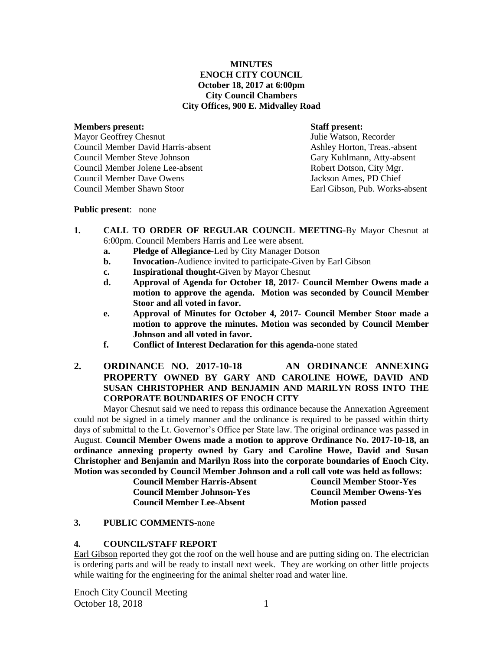## **MINUTES ENOCH CITY COUNCIL October 18, 2017 at 6:00pm City Council Chambers City Offices, 900 E. Midvalley Road**

#### **Members present: Staff present:**

Mayor Geoffrey Chesnut Julie Watson, Recorder Council Member David Harris-absent Ashley Horton, Treas.-absent Council Member Steve Johnson Gary Kuhlmann, Atty-absent Council Member Jolene Lee-absent Robert Dotson, City Mgr. Council Member Dave Owens Jackson Ames, PD Chief Council Member Shawn Stoor Earl Gibson, Pub. Works-absent

### **Public present**: none

- **1. CALL TO ORDER OF REGULAR COUNCIL MEETING-**By Mayor Chesnut at 6:00pm. Council Members Harris and Lee were absent.
	- **a. Pledge of Allegiance-**Led by City Manager Dotson
	- **b. Invocation-**Audience invited to participate-Given by Earl Gibson
	- **c. Inspirational thought-**Given by Mayor Chesnut
	- **d. Approval of Agenda for October 18, 2017- Council Member Owens made a motion to approve the agenda. Motion was seconded by Council Member Stoor and all voted in favor.**
	- **e. Approval of Minutes for October 4, 2017- Council Member Stoor made a motion to approve the minutes. Motion was seconded by Council Member Johnson and all voted in favor.**
	- **f. Conflict of Interest Declaration for this agenda-**none stated
- **2. ORDINANCE NO. 2017-10-18 AN ORDINANCE ANNEXING PROPERTY OWNED BY GARY AND CAROLINE HOWE, DAVID AND SUSAN CHRISTOPHER AND BENJAMIN AND MARILYN ROSS INTO THE CORPORATE BOUNDARIES OF ENOCH CITY**

Mayor Chesnut said we need to repass this ordinance because the Annexation Agreement could not be signed in a timely manner and the ordinance is required to be passed within thirty days of submittal to the Lt. Governor's Office per State law. The original ordinance was passed in August. **Council Member Owens made a motion to approve Ordinance No. 2017-10-18, an ordinance annexing property owned by Gary and Caroline Howe, David and Susan Christopher and Benjamin and Marilyn Ross into the corporate boundaries of Enoch City. Motion was seconded by Council Member Johnson and a roll call vote was held as follows:** 

> **Council Member Harris-Absent Council Member Stoor-Yes Council Member Johnson-Yes Council Member Owens-Yes Council Member Lee-Absent Motion passed**

## **3. PUBLIC COMMENTS-**none

## **4. COUNCIL/STAFF REPORT**

Earl Gibson reported they got the roof on the well house and are putting siding on. The electrician is ordering parts and will be ready to install next week. They are working on other little projects while waiting for the engineering for the animal shelter road and water line.

Enoch City Council Meeting October 18, 2018 1